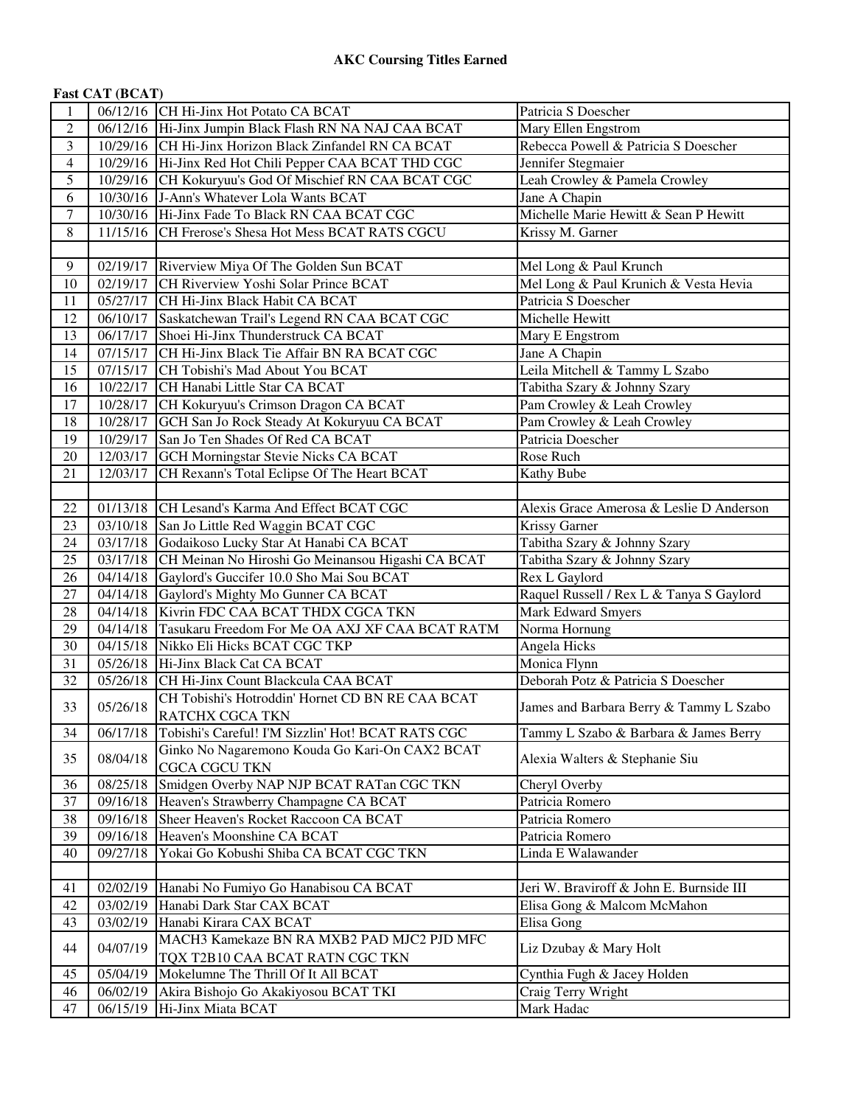| <b>Fast CAT (BCAT)</b> |  |
|------------------------|--|
|------------------------|--|

| 1              |          | 06/12/16 CH Hi-Jinx Hot Potato CA BCAT                 | Patricia S Doescher                      |
|----------------|----------|--------------------------------------------------------|------------------------------------------|
| $\overline{2}$ | 06/12/16 | Hi-Jinx Jumpin Black Flash RN NA NAJ CAA BCAT          | Mary Ellen Engstrom                      |
| 3              |          | 10/29/16 CH Hi-Jinx Horizon Black Zinfandel RN CA BCAT | Rebecca Powell & Patricia S Doescher     |
| $\overline{4}$ | 10/29/16 | Hi-Jinx Red Hot Chili Pepper CAA BCAT THD CGC          | Jennifer Stegmaier                       |
| 5              | 10/29/16 | CH Kokuryuu's God Of Mischief RN CAA BCAT CGC          | Leah Crowley & Pamela Crowley            |
| 6              | 10/30/16 | J-Ann's Whatever Lola Wants BCAT                       | Jane A Chapin                            |
| $\tau$         | 10/30/16 | Hi-Jinx Fade To Black RN CAA BCAT CGC                  | Michelle Marie Hewitt & Sean P Hewitt    |
| $\,8\,$        | 11/15/16 | CH Frerose's Shesa Hot Mess BCAT RATS CGCU             | Krissy M. Garner                         |
|                |          |                                                        |                                          |
| 9              | 02/19/17 | Riverview Miya Of The Golden Sun BCAT                  | Mel Long & Paul Krunch                   |
| 10             | 02/19/17 | CH Riverview Yoshi Solar Prince BCAT                   | Mel Long & Paul Krunich & Vesta Hevia    |
| 11             | 05/27/17 | CH Hi-Jinx Black Habit CA BCAT                         | Patricia S Doescher                      |
| 12             | 06/10/17 | Saskatchewan Trail's Legend RN CAA BCAT CGC            | Michelle Hewitt                          |
| 13             | 06/17/17 | Shoei Hi-Jinx Thunderstruck CA BCAT                    | Mary E Engstrom                          |
| 14             | 07/15/17 | CH Hi-Jinx Black Tie Affair BN RA BCAT CGC             | Jane A Chapin                            |
| 15             | 07/15/17 | CH Tobishi's Mad About You BCAT                        | Leila Mitchell & Tammy L Szabo           |
| 16             | 10/22/17 | CH Hanabi Little Star CA BCAT                          | Tabitha Szary & Johnny Szary             |
| 17             | 10/28/17 | CH Kokuryuu's Crimson Dragon CA BCAT                   | Pam Crowley & Leah Crowley               |
| 18             | 10/28/17 | GCH San Jo Rock Steady At Kokuryuu CA BCAT             | Pam Crowley & Leah Crowley               |
| 19             | 10/29/17 | San Jo Ten Shades Of Red CA BCAT                       | Patricia Doescher                        |
| 20             | 12/03/17 | <b>GCH Morningstar Stevie Nicks CA BCAT</b>            | Rose Ruch                                |
| 21             | 12/03/17 | CH Rexann's Total Eclipse Of The Heart BCAT            | Kathy Bube                               |
|                |          |                                                        |                                          |
|                |          |                                                        |                                          |
| 22             | 01/13/18 | CH Lesand's Karma And Effect BCAT CGC                  | Alexis Grace Amerosa & Leslie D Anderson |
| 23             | 03/10/18 | San Jo Little Red Waggin BCAT CGC                      | Krissy Garner                            |
| 24             | 03/17/18 | Godaikoso Lucky Star At Hanabi CA BCAT                 | Tabitha Szary & Johnny Szary             |
| 25             | 03/17/18 | CH Meinan No Hiroshi Go Meinansou Higashi CA BCAT      | Tabitha Szary & Johnny Szary             |
| 26             | 04/14/18 | Gaylord's Guccifer 10.0 Sho Mai Sou BCAT               | Rex L Gaylord                            |
| 27             | 04/14/18 | Gaylord's Mighty Mo Gunner CA BCAT                     | Raquel Russell / Rex L & Tanya S Gaylord |
| 28             | 04/14/18 | Kivrin FDC CAA BCAT THDX CGCA TKN                      | <b>Mark Edward Smyers</b>                |
| 29             | 04/14/18 | Tasukaru Freedom For Me OA AXJ XF CAA BCAT RATM        | Norma Hornung                            |
| 30             | 04/15/18 | Nikko Eli Hicks BCAT CGC TKP                           | Angela Hicks                             |
| 31             | 05/26/18 | Hi-Jinx Black Cat CA BCAT                              | Monica Flynn                             |
| 32             | 05/26/18 | CH Hi-Jinx Count Blackcula CAA BCAT                    | Deborah Potz & Patricia S Doescher       |
| 33             | 05/26/18 | CH Tobishi's Hotroddin' Hornet CD BN RE CAA BCAT       | James and Barbara Berry & Tammy L Szabo  |
|                |          | RATCHX CGCA TKN                                        |                                          |
| 34             | 06/17/18 | Tobishi's Careful! I'M Sizzlin' Hot! BCAT RATS CGC     | Tammy L Szabo & Barbara & James Berry    |
| 35             | 08/04/18 | Ginko No Nagaremono Kouda Go Kari-On CAX2 BCAT         | Alexia Walters & Stephanie Siu           |
|                |          | <b>CGCA CGCU TKN</b>                                   |                                          |
| 36             | 08/25/18 | Smidgen Overby NAP NJP BCAT RATan CGC TKN              | Cheryl Overby                            |
| 37             | 09/16/18 | Heaven's Strawberry Champagne CA BCAT                  | Patricia Romero                          |
| 38             | 09/16/18 | Sheer Heaven's Rocket Raccoon CA BCAT                  | Patricia Romero                          |
| 39             | 09/16/18 | Heaven's Moonshine CA BCAT                             | Patricia Romero                          |
| 40             | 09/27/18 | Yokai Go Kobushi Shiba CA BCAT CGC TKN                 | Linda E Walawander                       |
|                |          |                                                        |                                          |
| 41             | 02/02/19 | Hanabi No Fumiyo Go Hanabisou CA BCAT                  | Jeri W. Braviroff & John E. Burnside III |
| 42             | 03/02/19 | Hanabi Dark Star CAX BCAT                              | Elisa Gong & Malcom McMahon              |
| 43             | 03/02/19 | Hanabi Kirara CAX BCAT                                 | Elisa Gong                               |
|                |          | MACH3 Kamekaze BN RA MXB2 PAD MJC2 PJD MFC             |                                          |
| 44             | 04/07/19 | TQX T2B10 CAA BCAT RATN CGC TKN                        | Liz Dzubay & Mary Holt                   |
| 45             | 05/04/19 | Mokelumne The Thrill Of It All BCAT                    | Cynthia Fugh & Jacey Holden              |
| 46             | 06/02/19 | Akira Bishojo Go Akakiyosou BCAT TKI                   | Craig Terry Wright                       |
| 47             | 06/15/19 | Hi-Jinx Miata BCAT                                     | Mark Hadac                               |
|                |          |                                                        |                                          |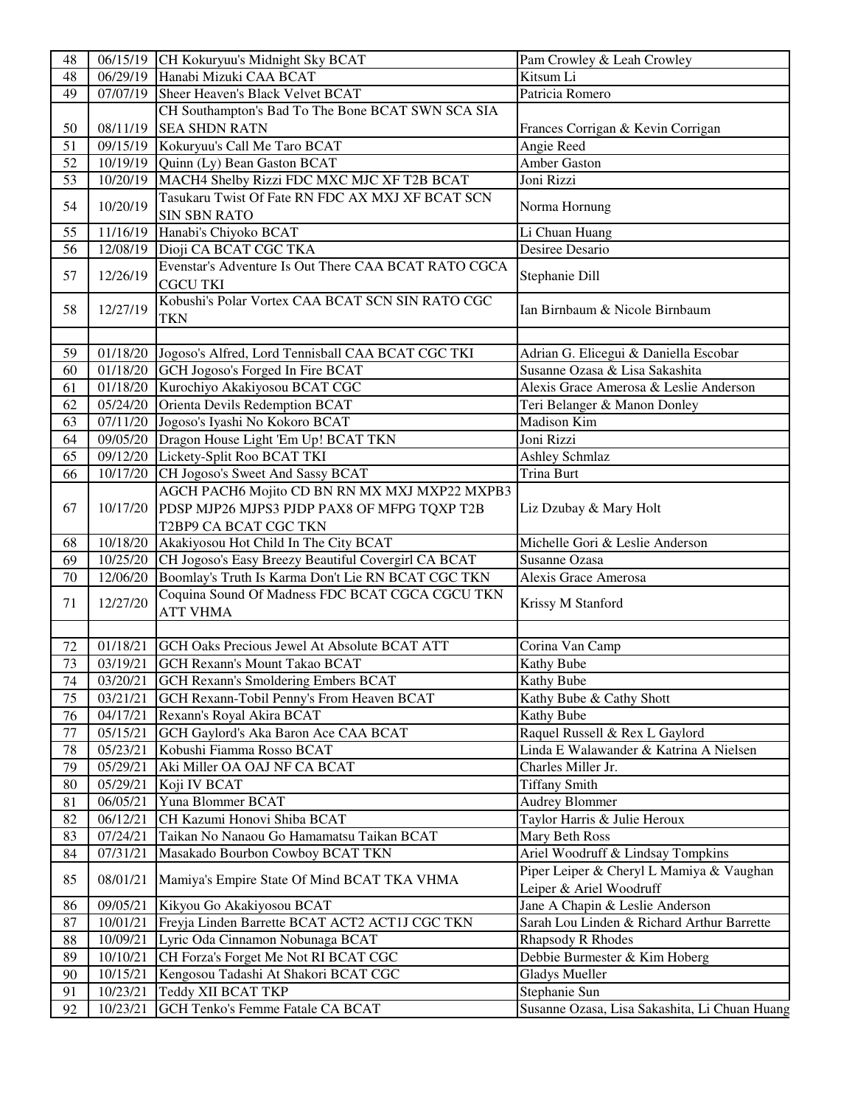| 48 | 06/15/19              | CH Kokuryuu's Midnight Sky BCAT                      | Pam Crowley & Leah Crowley                    |
|----|-----------------------|------------------------------------------------------|-----------------------------------------------|
| 48 | 06/29/19              | Hanabi Mizuki CAA BCAT                               | Kitsum Li                                     |
| 49 | 07/07/19              | Sheer Heaven's Black Velvet BCAT                     | Patricia Romero                               |
|    |                       | CH Southampton's Bad To The Bone BCAT SWN SCA SIA    |                                               |
| 50 | 08/11/19              | <b>SEA SHDN RATN</b>                                 | Frances Corrigan & Kevin Corrigan             |
| 51 | 09/15/19              | Kokuryuu's Call Me Taro BCAT                         | Angie Reed                                    |
| 52 | 10/19/19              | Quinn (Ly) Bean Gaston BCAT                          | <b>Amber Gaston</b>                           |
| 53 | 10/20/19              | MACH4 Shelby Rizzi FDC MXC MJC XF T2B BCAT           | Joni Rizzi                                    |
|    |                       | Tasukaru Twist Of Fate RN FDC AX MXJ XF BCAT SCN     |                                               |
| 54 | 10/20/19              | <b>SIN SBN RATO</b>                                  | Norma Hornung                                 |
| 55 | 11/16/19              | Hanabi's Chiyoko BCAT                                | Li Chuan Huang                                |
| 56 | 12/08/19              | Dioji CA BCAT CGC TKA                                | Desiree Desario                               |
|    |                       | Evenstar's Adventure Is Out There CAA BCAT RATO CGCA |                                               |
| 57 | 12/26/19              | <b>CGCU TKI</b>                                      | Stephanie Dill                                |
|    |                       | Kobushi's Polar Vortex CAA BCAT SCN SIN RATO CGC     |                                               |
| 58 | 12/27/19              | <b>TKN</b>                                           | Ian Birnbaum & Nicole Birnbaum                |
|    |                       |                                                      |                                               |
| 59 | 01/18/20              | Jogoso's Alfred, Lord Tennisball CAA BCAT CGC TKI    | Adrian G. Elicegui & Daniella Escobar         |
| 60 | 01/18/20              | GCH Jogoso's Forged In Fire BCAT                     | Susanne Ozasa & Lisa Sakashita                |
| 61 | 01/18/20              | Kurochiyo Akakiyosou BCAT CGC                        | Alexis Grace Amerosa & Leslie Anderson        |
| 62 | 05/24/20              | Orienta Devils Redemption BCAT                       | Teri Belanger & Manon Donley                  |
| 63 | 07/11/20              | Jogoso's Iyashi No Kokoro BCAT                       | Madison Kim                                   |
| 64 | 09/05/20              | Dragon House Light 'Em Up! BCAT TKN                  | Joni Rizzi                                    |
|    |                       |                                                      |                                               |
| 65 | 09/12/20              | Lickety-Split Roo BCAT TKI                           | Ashley Schmlaz                                |
| 66 | 10/17/20              | CH Jogoso's Sweet And Sassy BCAT                     | <b>Trina Burt</b>                             |
|    |                       | AGCH PACH6 Mojito CD BN RN MX MXJ MXP22 MXPB3        |                                               |
| 67 | 10/17/20              | PDSP MJP26 MJPS3 PJDP PAX8 OF MFPG TQXP T2B          | Liz Dzubay & Mary Holt                        |
|    |                       | T2BP9 CA BCAT CGC TKN                                |                                               |
| 68 | 10/18/20              | Akakiyosou Hot Child In The City BCAT                | Michelle Gori & Leslie Anderson               |
| 69 | 10/25/20              | CH Jogoso's Easy Breezy Beautiful Covergirl CA BCAT  | Susanne Ozasa                                 |
| 70 | 12/06/20              | Boomlay's Truth Is Karma Don't Lie RN BCAT CGC TKN   | Alexis Grace Amerosa                          |
| 71 | 12/27/20              | Coquina Sound Of Madness FDC BCAT CGCA CGCU TKN      | Krissy M Stanford                             |
|    |                       | <b>ATT VHMA</b>                                      |                                               |
|    |                       |                                                      |                                               |
| 72 | 01/18/21              | GCH Oaks Precious Jewel At Absolute BCAT ATT         | Corina Van Camp                               |
| 73 | 03/19/21              | <b>GCH Rexann's Mount Takao BCAT</b>                 | <b>Kathy Bube</b>                             |
| 74 | 03/20/21              | <b>GCH Rexann's Smoldering Embers BCAT</b>           | Kathy Bube                                    |
| 75 | 03/21/21              | GCH Rexann-Tobil Penny's From Heaven BCAT            | Kathy Bube & Cathy Shott                      |
| 76 | 04/17/21              | Rexann's Royal Akira BCAT                            | Kathy Bube                                    |
| 77 | 05/15/21              | GCH Gaylord's Aka Baron Ace CAA BCAT                 | Raquel Russell & Rex L Gaylord                |
| 78 | 05/23/21              | Kobushi Fiamma Rosso BCAT                            | Linda E Walawander & Katrina A Nielsen        |
| 79 | $\overline{0}5/29/21$ | Aki Miller OA OAJ NF CA BCAT                         | Charles Miller Jr.                            |
| 80 | 05/29/21              | Koji IV BCAT                                         | <b>Tiffany Smith</b>                          |
| 81 | 06/05/21              | Yuna Blommer BCAT                                    | <b>Audrey Blommer</b>                         |
| 82 | 06/12/21              | CH Kazumi Honovi Shiba BCAT                          | Taylor Harris & Julie Heroux                  |
| 83 | 07/24/21              | Taikan No Nanaou Go Hamamatsu Taikan BCAT            | Mary Beth Ross                                |
| 84 | 07/31/21              | Masakado Bourbon Cowboy BCAT TKN                     | Ariel Woodruff & Lindsay Tompkins             |
|    |                       |                                                      | Piper Leiper & Cheryl L Mamiya & Vaughan      |
| 85 | 08/01/21              | Mamiya's Empire State Of Mind BCAT TKA VHMA          | Leiper & Ariel Woodruff                       |
| 86 | 09/05/21              | Kikyou Go Akakiyosou BCAT                            | Jane A Chapin & Leslie Anderson               |
| 87 | 10/01/21              | Freyja Linden Barrette BCAT ACT2 ACT1J CGC TKN       | Sarah Lou Linden & Richard Arthur Barrette    |
| 88 | 10/09/21              | Lyric Oda Cinnamon Nobunaga BCAT                     | Rhapsody R Rhodes                             |
| 89 | 10/10/21              | CH Forza's Forget Me Not RI BCAT CGC                 | Debbie Burmester & Kim Hoberg                 |
| 90 | 10/15/21              | Kengosou Tadashi At Shakori BCAT CGC                 | <b>Gladys Mueller</b>                         |
| 91 | 10/23/21              | Teddy XII BCAT TKP                                   | Stephanie Sun                                 |
| 92 | 10/23/21              | GCH Tenko's Femme Fatale CA BCAT                     | Susanne Ozasa, Lisa Sakashita, Li Chuan Huang |
|    |                       |                                                      |                                               |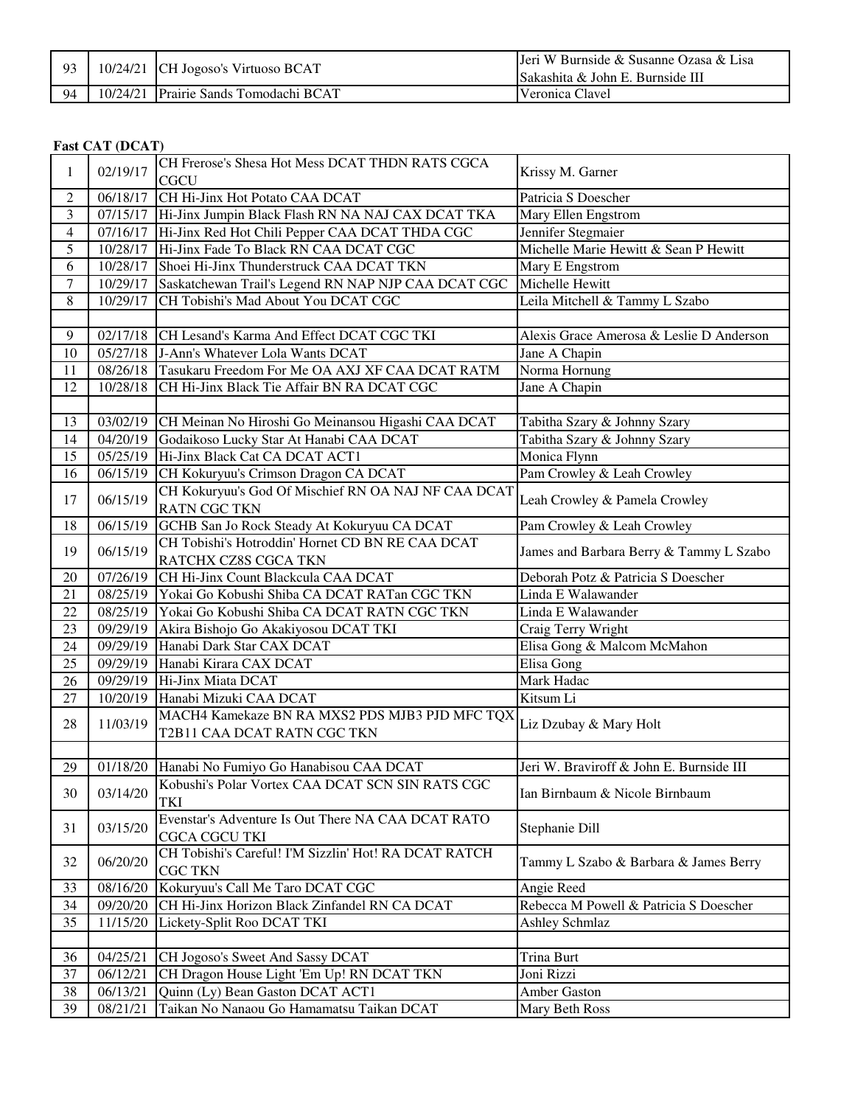| 93 | 10/24/21 CH Jogoso's Virtuoso BCAT    | Jeri W Burnside & Susanne Ozasa & Lisa<br><b>ISakashita &amp; John E. Burnside III</b> |
|----|---------------------------------------|----------------------------------------------------------------------------------------|
| 94 | 10/24/21 Prairie Sands Tomodachi BCAT | Veronica Clavel                                                                        |

#### **Fast CAT (DCAT)**

| 1              | 02/19/17 | CH Frerose's Shesa Hot Mess DCAT THDN RATS CGCA       | Krissy M. Garner                         |
|----------------|----------|-------------------------------------------------------|------------------------------------------|
|                |          | <b>CGCU</b>                                           |                                          |
| 2              | 06/18/17 | CH Hi-Jinx Hot Potato CAA DCAT                        | Patricia S Doescher                      |
| 3              | 07/15/17 | Hi-Jinx Jumpin Black Flash RN NA NAJ CAX DCAT TKA     | Mary Ellen Engstrom                      |
| $\overline{4}$ | 07/16/17 | Hi-Jinx Red Hot Chili Pepper CAA DCAT THDA CGC        | Jennifer Stegmaier                       |
| 5              | 10/28/17 | Hi-Jinx Fade To Black RN CAA DCAT CGC                 | Michelle Marie Hewitt & Sean P Hewitt    |
| 6              | 10/28/17 | Shoei Hi-Jinx Thunderstruck CAA DCAT TKN              | Mary E Engstrom                          |
| $\tau$         | 10/29/17 | Saskatchewan Trail's Legend RN NAP NJP CAA DCAT CGC   | Michelle Hewitt                          |
| 8              | 10/29/17 | CH Tobishi's Mad About You DCAT CGC                   | Leila Mitchell & Tammy L Szabo           |
|                |          |                                                       |                                          |
| 9              | 02/17/18 | CH Lesand's Karma And Effect DCAT CGC TKI             | Alexis Grace Amerosa & Leslie D Anderson |
| 10             | 05/27/18 | J-Ann's Whatever Lola Wants DCAT                      | Jane A Chapin                            |
| 11             | 08/26/18 | Tasukaru Freedom For Me OA AXJ XF CAA DCAT RATM       | Norma Hornung                            |
| 12             | 10/28/18 | CH Hi-Jinx Black Tie Affair BN RA DCAT CGC            | Jane A Chapin                            |
|                |          |                                                       |                                          |
| 13             | 03/02/19 | CH Meinan No Hiroshi Go Meinansou Higashi CAA DCAT    | Tabitha Szary & Johnny Szary             |
| 14             | 04/20/19 | Godaikoso Lucky Star At Hanabi CAA DCAT               | Tabitha Szary & Johnny Szary             |
| 15             | 05/25/19 | Hi-Jinx Black Cat CA DCAT ACT1                        | Monica Flynn                             |
| 16             | 06/15/19 | CH Kokuryuu's Crimson Dragon CA DCAT                  | Pam Crowley & Leah Crowley               |
| 17             | 06/15/19 | CH Kokuryuu's God Of Mischief RN OA NAJ NF CAA DCAT   | Leah Crowley & Pamela Crowley            |
|                |          | <b>RATN CGC TKN</b>                                   |                                          |
| 18             | 06/15/19 | GCHB San Jo Rock Steady At Kokuryuu CA DCAT           | Pam Crowley & Leah Crowley               |
| 19             | 06/15/19 | CH Tobishi's Hotroddin' Hornet CD BN RE CAA DCAT      | James and Barbara Berry & Tammy L Szabo  |
|                |          | RATCHX CZ8S CGCA TKN                                  |                                          |
| 20             | 07/26/19 | CH Hi-Jinx Count Blackcula CAA DCAT                   | Deborah Potz & Patricia S Doescher       |
| 21             | 08/25/19 | Yokai Go Kobushi Shiba CA DCAT RATan CGC TKN          | Linda E Walawander                       |
| 22             | 08/25/19 | Yokai Go Kobushi Shiba CA DCAT RATN CGC TKN           | Linda E Walawander                       |
| 23             | 09/29/19 | Akira Bishojo Go Akakiyosou DCAT TKI                  | Craig Terry Wright                       |
| 24             | 09/29/19 | Hanabi Dark Star CAX DCAT                             | Elisa Gong & Malcom McMahon              |
| 25             | 09/29/19 | Hanabi Kirara CAX DCAT                                | Elisa Gong                               |
| 26             | 09/29/19 | Hi-Jinx Miata DCAT                                    | Mark Hadac                               |
| $27\,$         | 10/20/19 | Hanabi Mizuki CAA DCAT                                | Kitsum Li                                |
| 28             | 11/03/19 | MACH4 Kamekaze BN RA MXS2 PDS MJB3 PJD MFC TQX        | Liz Dzubay & Mary Holt                   |
|                |          | T2B11 CAA DCAT RATN CGC TKN                           |                                          |
|                |          |                                                       |                                          |
| 29             | 01/18/20 | Hanabi No Fumiyo Go Hanabisou CAA DCAT                | Jeri W. Braviroff & John E. Burnside III |
| 30             | 03/14/20 | Kobushi's Polar Vortex CAA DCAT SCN SIN RATS CGC      | Ian Birnbaum & Nicole Birnbaum           |
|                |          | <b>TKI</b>                                            |                                          |
| 31             | 03/15/20 | Evenstar's Adventure Is Out There NA CAA DCAT RATO    | Stephanie Dill                           |
|                |          | <b>CGCA CGCU TKI</b>                                  |                                          |
| 32             | 06/20/20 | CH Tobishi's Careful! I'M Sizzlin' Hot! RA DCAT RATCH | Tammy L Szabo & Barbara & James Berry    |
|                |          | <b>CGC TKN</b>                                        |                                          |
| 33             | 08/16/20 | Kokuryuu's Call Me Taro DCAT CGC                      | Angie Reed                               |
| 34             | 09/20/20 | CH Hi-Jinx Horizon Black Zinfandel RN CA DCAT         | Rebecca M Powell & Patricia S Doescher   |
| 35             | 11/15/20 | Lickety-Split Roo DCAT TKI                            | <b>Ashley Schmlaz</b>                    |
|                |          |                                                       |                                          |
| 36             | 04/25/21 | CH Jogoso's Sweet And Sassy DCAT                      | <b>Trina Burt</b>                        |
| 37             | 06/12/21 | CH Dragon House Light 'Em Up! RN DCAT TKN             | Joni Rizzi                               |
| 38             | 06/13/21 | Quinn (Ly) Bean Gaston DCAT ACT1                      | Amber Gaston                             |
| 39             | 08/21/21 | Taikan No Nanaou Go Hamamatsu Taikan DCAT             | Mary Beth Ross                           |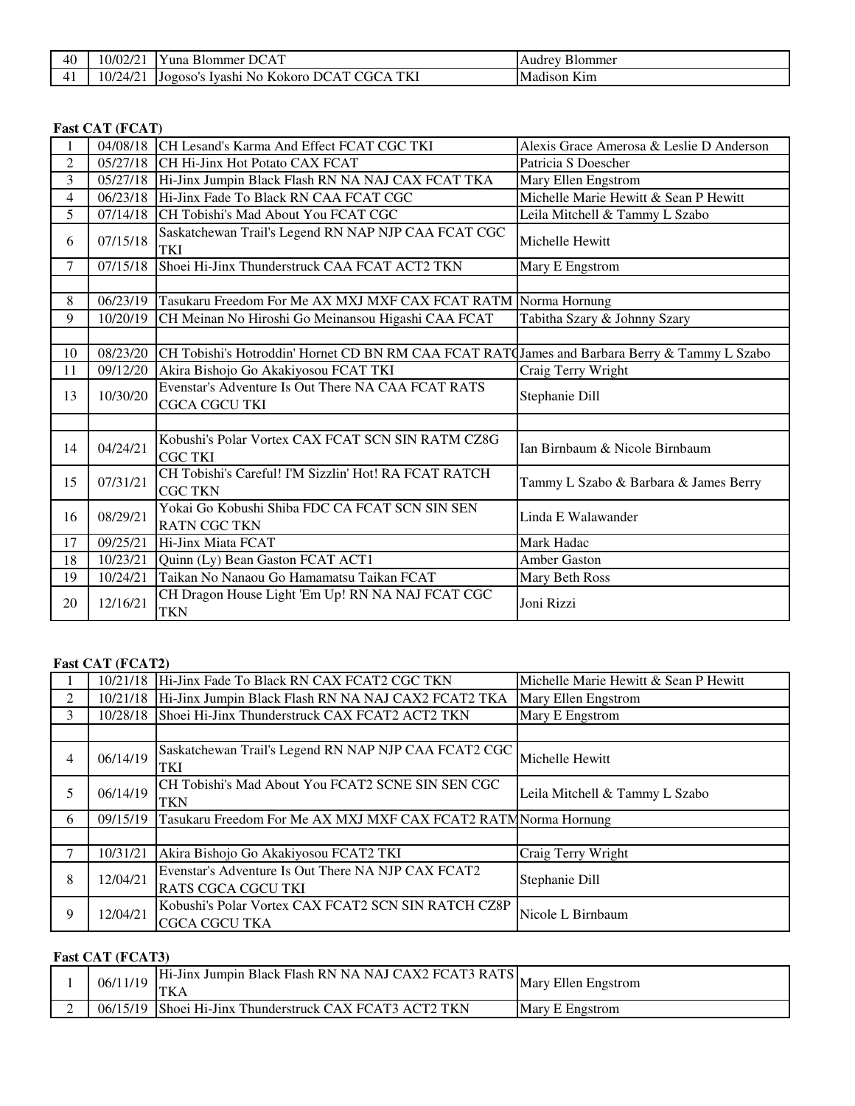| 40       | 10/02/2 | $\sim$ 1<br>$\mathbf{r}$<br>DC<br><b>Blommer</b><br>′una<br>$\Delta$                                    | D.<br><b>Blommer</b>                        |
|----------|---------|---------------------------------------------------------------------------------------------------------|---------------------------------------------|
| 4<br>. . | 10/24/2 | <b>TVI</b><br>$\sim$<br><b>**</b><br>௱<br>м<br>$100000^{\circ}$<br>Tvashi<br>Kokoro<br>N0<br>т<br>1 N.I | $\mathbf{v}$<br>Madison<br>K <sub>1</sub> m |

### **Fast CAT (FCAT)**

| 1              | 04/08/18              | CH Lesand's Karma And Effect FCAT CGC TKI                                                    | Alexis Grace Amerosa & Leslie D Anderson |
|----------------|-----------------------|----------------------------------------------------------------------------------------------|------------------------------------------|
| 2              | 05/27/18              | <b>CH Hi-Jinx Hot Potato CAX FCAT</b>                                                        | Patricia S Doescher                      |
| 3              | 05/27/18              | Hi-Jinx Jumpin Black Flash RN NA NAJ CAX FCAT TKA                                            | Mary Ellen Engstrom                      |
| $\overline{4}$ | 06/23/18              | Hi-Jinx Fade To Black RN CAA FCAT CGC                                                        | Michelle Marie Hewitt & Sean P Hewitt    |
| 5              | 07/14/18              | CH Tobishi's Mad About You FCAT CGC                                                          | Leila Mitchell & Tammy L Szabo           |
| 6              | 07/15/18              | Saskatchewan Trail's Legend RN NAP NJP CAA FCAT CGC<br><b>TKI</b>                            | Michelle Hewitt                          |
| 7              | 07/15/18              | Shoei Hi-Jinx Thunderstruck CAA FCAT ACT2 TKN                                                | Mary E Engstrom                          |
|                |                       |                                                                                              |                                          |
| 8              | 06/23/19              | Tasukaru Freedom For Me AX MXJ MXF CAX FCAT RATM Norma Hornung                               |                                          |
| 9              | 10/20/19              | CH Meinan No Hiroshi Go Meinansou Higashi CAA FCAT                                           | Tabitha Szary & Johnny Szary             |
|                |                       |                                                                                              |                                          |
| 10             | 08/23/20              | CH Tobishi's Hotroddin' Hornet CD BN RM CAA FCAT RATQJames and Barbara Berry & Tammy L Szabo |                                          |
| 11             | 09/12/20              | Akira Bishojo Go Akakiyosou FCAT TKI                                                         | Craig Terry Wright                       |
| 13             | 10/30/20              | Evenstar's Adventure Is Out There NA CAA FCAT RATS<br>CGCA CGCU TKI                          | Stephanie Dill                           |
|                |                       |                                                                                              |                                          |
| 14             | 04/24/21              | Kobushi's Polar Vortex CAX FCAT SCN SIN RATM CZ8G<br><b>CGC TKI</b>                          | Ian Birnbaum & Nicole Birnbaum           |
| 15             | 07/31/21              | CH Tobishi's Careful! I'M Sizzlin' Hot! RA FCAT RATCH<br><b>CGC TKN</b>                      | Tammy L Szabo & Barbara & James Berry    |
| 16             | 08/29/21              | Yokai Go Kobushi Shiba FDC CA FCAT SCN SIN SEN<br><b>RATN CGC TKN</b>                        | Linda E Walawander                       |
| 17             | 09/25/21              | Hi-Jinx Miata FCAT                                                                           | Mark Hadac                               |
| 18             | 10/23/21              | Quinn (Ly) Bean Gaston FCAT ACT1                                                             | Amber Gaston                             |
| 19             | $\overline{10}/24/21$ | Taikan No Nanaou Go Hamamatsu Taikan FCAT                                                    | Mary Beth Ross                           |
| 20             | 12/16/21              | CH Dragon House Light 'Em Up! RN NA NAJ FCAT CGC<br><b>TKN</b>                               | Joni Rizzi                               |

## **Fast CAT (FCAT2)**

|   | 10/21/18 | Hi-Jinx Fade To Black RN CAX FCAT2 CGC TKN                                      | Michelle Marie Hewitt & Sean P Hewitt |
|---|----------|---------------------------------------------------------------------------------|---------------------------------------|
| 2 | 10/21/18 | Hi-Jinx Jumpin Black Flash RN NA NAJ CAX2 FCAT2 TKA                             | Mary Ellen Engstrom                   |
| 3 | 10/28/18 | Shoei Hi-Jinx Thunderstruck CAX FCAT2 ACT2 TKN                                  | Mary E Engstrom                       |
|   |          |                                                                                 |                                       |
| 4 | 06/14/19 | Saskatchewan Trail's Legend RN NAP NJP CAA FCAT2 CGC<br><b>TKI</b>              | Michelle Hewitt                       |
| 5 | 06/14/19 | CH Tobishi's Mad About You FCAT2 SCNE SIN SEN CGC<br><b>TKN</b>                 | Leila Mitchell & Tammy L Szabo        |
| 6 | 09/15/19 | Tasukaru Freedom For Me AX MXJ MXF CAX FCAT2 RATM Norma Hornung                 |                                       |
|   |          |                                                                                 |                                       |
|   | 10/31/21 | Akira Bishojo Go Akakiyosou FCAT2 TKI                                           | Craig Terry Wright                    |
| 8 | 12/04/21 | Evenstar's Adventure Is Out There NA NJP CAX FCAT2<br><b>RATS CGCA CGCU TKI</b> | Stephanie Dill                        |
| 9 | 12/04/21 | Kobushi's Polar Vortex CAX FCAT2 SCN SIN RATCH CZ8P<br><b>CGCA CGCU TKA</b>     | Nicole L Birnbaum                     |

### **Fast CAT (FCAT3)**

|   | 06/11/19 | Hi-Jinx Jumpin Black Flash RN NA NAJ CAX2 FCAT3 RATS<br><b>TKA</b> | <b>Mary Ellen Engstrom</b>      |
|---|----------|--------------------------------------------------------------------|---------------------------------|
| ∸ | 06/15/19 | Shoei Hi-Jinx Thunderstruck CAX FCAT3 ACT2 TKN                     | Mary<br><sup>7</sup> E Engstrom |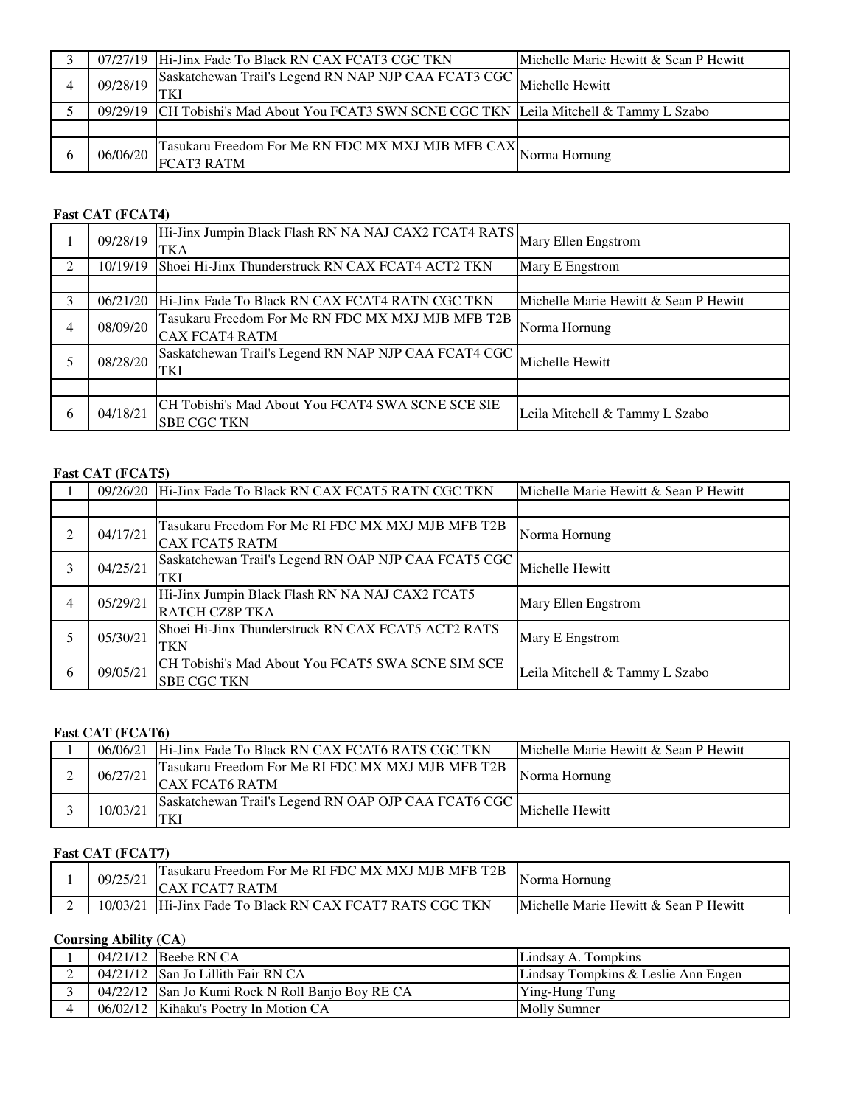|          | 07/27/19 Hi-Jinx Fade To Black RN CAX FCAT3 CGC TKN                                       | Michelle Marie Hewitt & Sean P Hewitt |
|----------|-------------------------------------------------------------------------------------------|---------------------------------------|
| 09/28/19 | Saskatchewan Trail's Legend RN NAP NJP CAA FCAT3 CGC<br><b>TKI</b>                        | Michelle Hewitt                       |
|          | 09/29/19 CH Tobishi's Mad About You FCAT3 SWN SCNE CGC TKN Leila Mitchell & Tammy L Szabo |                                       |
|          |                                                                                           |                                       |
| 06/06/20 | Tasukaru Freedom For Me RN FDC MX MXJ MJB MFB CAX,<br>FCAT3 RATM                          | Norma Hornung                         |

## **Fast CAT (FCAT4)**

|               | 09/28/19 | Hi-Jinx Jumpin Black Flash RN NA NAJ CAX2 FCAT4 RATS Mary Ellen Engstrom<br><b>TKA</b> |                                       |
|---------------|----------|----------------------------------------------------------------------------------------|---------------------------------------|
| $\mathcal{L}$ | 10/19/19 | Shoei Hi-Jinx Thunderstruck RN CAX FCAT4 ACT2 TKN                                      | Mary E Engstrom                       |
|               |          |                                                                                        |                                       |
| 3             | 06/21/20 | Hi-Jinx Fade To Black RN CAX FCAT4 RATN CGC TKN                                        | Michelle Marie Hewitt & Sean P Hewitt |
| 4             | 08/09/20 | Tasukaru Freedom For Me RN FDC MX MXJ MJB MFB T2B                                      | Norma Hornung                         |
|               |          | <b>CAX FCAT4 RATM</b>                                                                  |                                       |
|               | 08/28/20 | Saskatchewan Trail's Legend RN NAP NJP CAA FCAT4 CGC<br>TKI                            | Michelle Hewitt                       |
|               |          |                                                                                        |                                       |
| 6             | 04/18/21 | CH Tobishi's Mad About You FCAT4 SWA SCNE SCE SIE<br><b>SBE CGC TKN</b>                | Leila Mitchell & Tammy L Szabo        |

## **Fast CAT (FCAT5)**

|   | 09/26/20 | Hi-Jinx Fade To Black RN CAX FCAT5 RATN CGC TKN                            | Michelle Marie Hewitt & Sean P Hewitt |
|---|----------|----------------------------------------------------------------------------|---------------------------------------|
|   |          |                                                                            |                                       |
|   | 04/17/21 | Tasukaru Freedom For Me RI FDC MX MXJ MJB MFB T2B<br><b>CAX FCAT5 RATM</b> | Norma Hornung                         |
| 3 | 04/25/21 | Saskatchewan Trail's Legend RN OAP NJP CAA FCAT5 CGC<br>TKI                | Michelle Hewitt                       |
| 4 | 05/29/21 | Hi-Jinx Jumpin Black Flash RN NA NAJ CAX2 FCAT5<br><b>RATCH CZ8P TKA</b>   | Mary Ellen Engstrom                   |
|   | 05/30/21 | Shoei Hi-Jinx Thunderstruck RN CAX FCAT5 ACT2 RATS<br><b>TKN</b>           | Mary E Engstrom                       |
| 6 | 09/05/21 | CH Tobishi's Mad About You FCAT5 SWA SCNE SIM SCE<br><b>SBE CGC TKN</b>    | Leila Mitchell & Tammy L Szabo        |

# **Fast CAT (FCAT6)**

|          | 06/06/21 Hi-Jinx Fade To Black RN CAX FCAT6 RATS CGC TKN                   | Michelle Marie Hewitt & Sean P Hewitt |
|----------|----------------------------------------------------------------------------|---------------------------------------|
| 06/27/21 | Tasukaru Freedom For Me RI FDC MX MXJ MJB MFB T2B<br><b>CAX FCAT6 RATM</b> | Norma Hornung                         |
| 10/03/21 | [Saskatchewan Trail's Legend RN OAP OJP CAA FCAT6 CGC],                    | Michelle Hewitt                       |

## **Fast CAT (FCAT7)**

| 09/25/2  | Tasukaru Freedom For Me RI FDC MX MXJ MJB MFB T2B<br><b>FCAT7 RATM</b> | Norma Hornung                                     |
|----------|------------------------------------------------------------------------|---------------------------------------------------|
| 10/03/21 | Hi-Jinx Fade To Black RN CAX FCAT7 RATS CGC TKN                        | <b>IMichelle Marie Hewitt &amp; Sean P Hewitt</b> |

# **Coursing Ability (CA)**

|  | $04/21/12$ Beebe RN CA                           | Lindsay A. Tompkins                 |
|--|--------------------------------------------------|-------------------------------------|
|  | 04/21/12 San Jo Lillith Fair RN CA               | Lindsay Tompkins & Leslie Ann Engen |
|  | 04/22/12 San Jo Kumi Rock N Roll Banjo Boy RE CA | <b>Ying-Hung Tung</b>               |
|  | 06/02/12   Kihaku's Poetry In Motion CA          | <b>Molly Sumner</b>                 |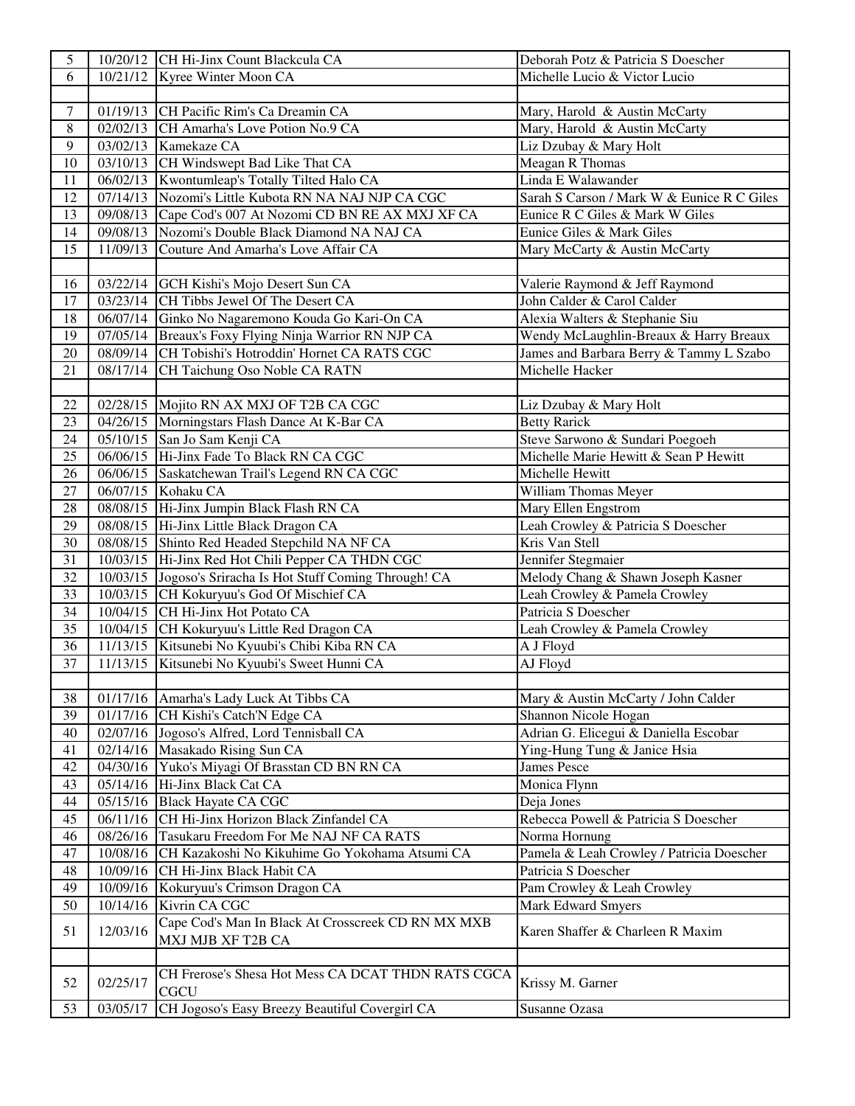| 5               |          | 10/20/12 CH Hi-Jinx Count Blackcula CA             | Deborah Potz & Patricia S Doescher         |
|-----------------|----------|----------------------------------------------------|--------------------------------------------|
| 6               | 10/21/12 | Kyree Winter Moon CA                               | Michelle Lucio & Victor Lucio              |
|                 |          |                                                    |                                            |
| $\tau$          | 01/19/13 | CH Pacific Rim's Ca Dreamin CA                     | Mary, Harold & Austin McCarty              |
| $\overline{8}$  | 02/02/13 | CH Amarha's Love Potion No.9 CA                    | Mary, Harold & Austin McCarty              |
| 9               | 03/02/13 | Kamekaze CA                                        | Liz Dzubay & Mary Holt                     |
| 10              | 03/10/13 | CH Windswept Bad Like That CA                      | Meagan R Thomas                            |
| 11              | 06/02/13 | Kwontumleap's Totally Tilted Halo CA               | Linda E Walawander                         |
| 12              | 07/14/13 | Nozomi's Little Kubota RN NA NAJ NJP CA CGC        | Sarah S Carson / Mark W & Eunice R C Giles |
| 13              | 09/08/13 | Cape Cod's 007 At Nozomi CD BN RE AX MXJ XF CA     | Eunice R C Giles & Mark W Giles            |
| 14              | 09/08/13 | Nozomi's Double Black Diamond NA NAJ CA            | Eunice Giles & Mark Giles                  |
| 15              | 11/09/13 | Couture And Amarha's Love Affair CA                | Mary McCarty & Austin McCarty              |
|                 |          |                                                    |                                            |
| 16              | 03/22/14 | GCH Kishi's Mojo Desert Sun CA                     | Valerie Raymond & Jeff Raymond             |
| 17              |          | 03/23/14 CH Tibbs Jewel Of The Desert CA           | John Calder & Carol Calder                 |
| 18              | 06/07/14 | Ginko No Nagaremono Kouda Go Kari-On CA            | Alexia Walters & Stephanie Siu             |
| 19              | 07/05/14 | Breaux's Foxy Flying Ninja Warrior RN NJP CA       | Wendy McLaughlin-Breaux & Harry Breaux     |
| 20              | 08/09/14 | CH Tobishi's Hotroddin' Hornet CA RATS CGC         | James and Barbara Berry & Tammy L Szabo    |
| 21              | 08/17/14 | CH Taichung Oso Noble CA RATN                      | Michelle Hacker                            |
|                 |          |                                                    |                                            |
| 22              |          | 02/28/15 Mojito RN AX MXJ OF T2B CA CGC            | Liz Dzubay & Mary Holt                     |
| 23              | 04/26/15 | Morningstars Flash Dance At K-Bar CA               | <b>Betty Rarick</b>                        |
| 24              | 05/10/15 | San Jo Sam Kenji CA                                | Steve Sarwono & Sundari Poegoeh            |
| 25              | 06/06/15 | Hi-Jinx Fade To Black RN CA CGC                    | Michelle Marie Hewitt & Sean P Hewitt      |
| 26              | 06/06/15 | Saskatchewan Trail's Legend RN CA CGC              | Michelle Hewitt                            |
| 27              | 06/07/15 | Kohaku CA                                          | William Thomas Meyer                       |
| $28\,$          | 08/08/15 | Hi-Jinx Jumpin Black Flash RN CA                   | Mary Ellen Engstrom                        |
| 29              | 08/08/15 | Hi-Jinx Little Black Dragon CA                     | Leah Crowley & Patricia S Doescher         |
| 30              | 08/08/15 | Shinto Red Headed Stepchild NA NF CA               | Kris Van Stell                             |
| $\overline{31}$ | 10/03/15 | Hi-Jinx Red Hot Chili Pepper CA THDN CGC           | Jennifer Stegmaier                         |
| 32              | 10/03/15 | Jogoso's Sriracha Is Hot Stuff Coming Through! CA  | Melody Chang & Shawn Joseph Kasner         |
| 33              | 10/03/15 | CH Kokuryuu's God Of Mischief CA                   | Leah Crowley & Pamela Crowley              |
| 34              | 10/04/15 | CH Hi-Jinx Hot Potato CA                           | Patricia S Doescher                        |
| 35              | 10/04/15 | CH Kokuryuu's Little Red Dragon CA                 | Leah Crowley & Pamela Crowley              |
| 36              | 11/13/15 | Kitsunebi No Kyuubi's Chibi Kiba RN CA             | A J Floyd                                  |
| 37              | 11/13/15 | Kitsunebi No Kyuubi's Sweet Hunni CA               | AJ Floyd                                   |
|                 |          |                                                    |                                            |
| 38              |          | 01/17/16 Amarha's Lady Luck At Tibbs CA            | Mary & Austin McCarty / John Calder        |
| 39              | 01/17/16 | CH Kishi's Catch'N Edge CA                         | Shannon Nicole Hogan                       |
| 40              | 02/07/16 | Jogoso's Alfred, Lord Tennisball CA                | Adrian G. Elicegui & Daniella Escobar      |
| 41              | 02/14/16 | Masakado Rising Sun CA                             | Ying-Hung Tung & Janice Hsia               |
| 42              | 04/30/16 | Yuko's Miyagi Of Brasstan CD BN RN CA              | <b>James Pesce</b>                         |
| 43              | 05/14/16 | Hi-Jinx Black Cat CA                               | Monica Flynn                               |
| 44              | 05/15/16 | <b>Black Hayate CA CGC</b>                         | Deja Jones                                 |
| 45              | 06/11/16 | CH Hi-Jinx Horizon Black Zinfandel CA              | Rebecca Powell & Patricia S Doescher       |
| 46              | 08/26/16 | Tasukaru Freedom For Me NAJ NF CA RATS             | Norma Hornung                              |
| 47              | 10/08/16 | CH Kazakoshi No Kikuhime Go Yokohama Atsumi CA     | Pamela & Leah Crowley / Patricia Doescher  |
| 48              | 10/09/16 | CH Hi-Jinx Black Habit CA                          | Patricia S Doescher                        |
| 49              | 10/09/16 | Kokuryuu's Crimson Dragon CA                       | Pam Crowley & Leah Crowley                 |
| 50              | 10/14/16 | Kivrin CA CGC                                      | Mark Edward Smyers                         |
| 51              | 12/03/16 | Cape Cod's Man In Black At Crosscreek CD RN MX MXB | Karen Shaffer & Charleen R Maxim           |
|                 |          | MXJ MJB XF T2B CA                                  |                                            |
|                 |          |                                                    |                                            |
| 52              | 02/25/17 | CH Frerose's Shesa Hot Mess CA DCAT THDN RATS CGCA | Krissy M. Garner                           |
|                 |          | <b>CGCU</b>                                        |                                            |
| 53              | 03/05/17 | CH Jogoso's Easy Breezy Beautiful Covergirl CA     | Susanne Ozasa                              |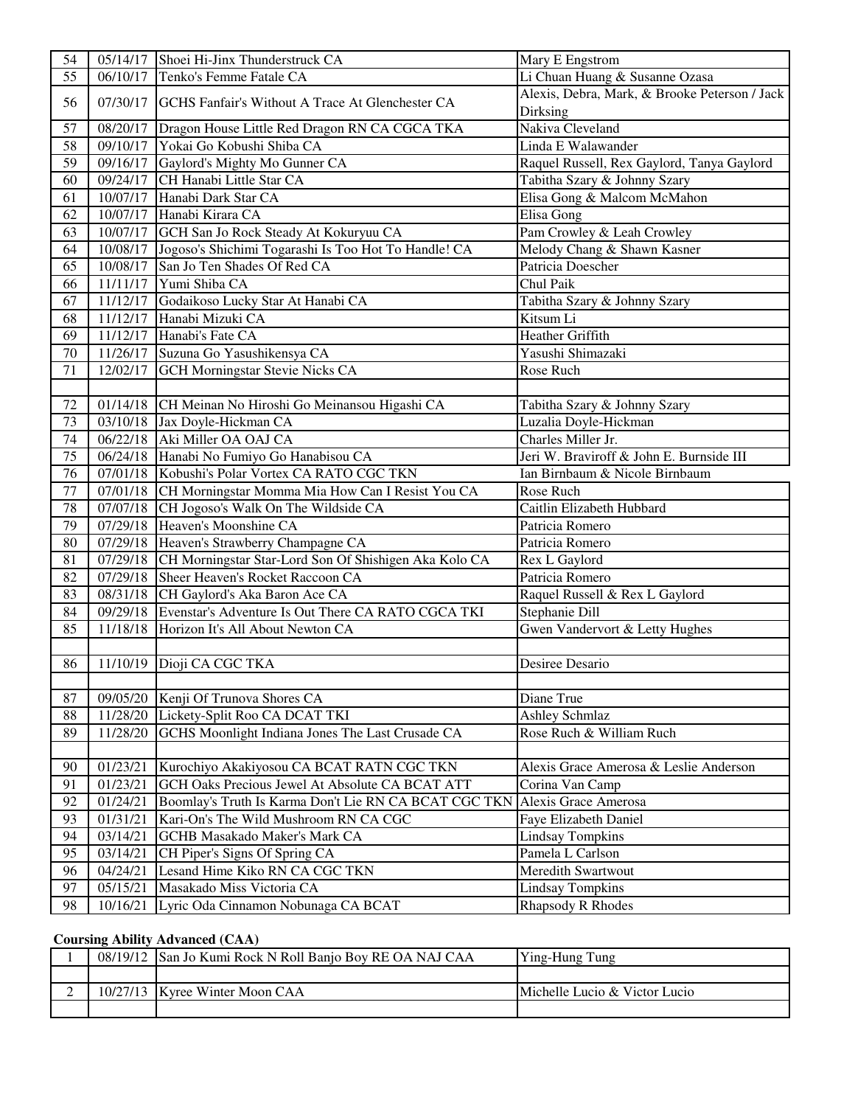| 54 | 05/14/17              | Shoei Hi-Jinx Thunderstruck CA                        | Mary E Engstrom                               |
|----|-----------------------|-------------------------------------------------------|-----------------------------------------------|
| 55 | 06/10/17              | Tenko's Femme Fatale CA                               | Li Chuan Huang & Susanne Ozasa                |
|    |                       |                                                       | Alexis, Debra, Mark, & Brooke Peterson / Jack |
| 56 | 07/30/17              | GCHS Fanfair's Without A Trace At Glenchester CA      | Dirksing                                      |
| 57 | 08/20/17              | Dragon House Little Red Dragon RN CA CGCA TKA         | Nakiva Cleveland                              |
| 58 | 09/10/17              | Yokai Go Kobushi Shiba CA                             | Linda E Walawander                            |
| 59 | 09/16/17              | Gaylord's Mighty Mo Gunner CA                         | Raquel Russell, Rex Gaylord, Tanya Gaylord    |
| 60 | 09/24/17              | CH Hanabi Little Star CA                              | Tabitha Szary & Johnny Szary                  |
| 61 | 10/07/17              | Hanabi Dark Star CA                                   | Elisa Gong & Malcom McMahon                   |
| 62 | 10/07/17              | Hanabi Kirara CA                                      | Elisa Gong                                    |
| 63 | 10/07/17              | GCH San Jo Rock Steady At Kokuryuu CA                 | Pam Crowley & Leah Crowley                    |
| 64 | 10/08/17              | Jogoso's Shichimi Togarashi Is Too Hot To Handle! CA  | Melody Chang & Shawn Kasner                   |
| 65 | 10/08/17              | San Jo Ten Shades Of Red CA                           | Patricia Doescher                             |
| 66 | 11/11/17              | Yumi Shiba CA                                         | Chul Paik                                     |
| 67 | 11/12/17              | Godaikoso Lucky Star At Hanabi CA                     | Tabitha Szary & Johnny Szary                  |
| 68 | 11/12/17              | Hanabi Mizuki CA                                      | Kitsum Li                                     |
| 69 | 11/12/17              | Hanabi's Fate CA                                      | Heather Griffith                              |
| 70 | 11/26/17              | Suzuna Go Yasushikensya CA                            | Yasushi Shimazaki                             |
| 71 | 12/02/17              | <b>GCH Morningstar Stevie Nicks CA</b>                | Rose Ruch                                     |
|    |                       |                                                       |                                               |
| 72 | 01/14/18              | CH Meinan No Hiroshi Go Meinansou Higashi CA          | Tabitha Szary & Johnny Szary                  |
| 73 | 03/10/18              | Jax Doyle-Hickman CA                                  | Luzalia Doyle-Hickman                         |
| 74 | 06/22/18              | Aki Miller OA OAJ CA                                  | Charles Miller Jr.                            |
| 75 | $\overline{06/2}4/18$ | Hanabi No Fumiyo Go Hanabisou CA                      | Jeri W. Braviroff & John E. Burnside III      |
| 76 | 07/01/18              | Kobushi's Polar Vortex CA RATO CGC TKN                | Ian Birnbaum & Nicole Birnbaum                |
| 77 | 07/01/18              | CH Morningstar Momma Mia How Can I Resist You CA      | Rose Ruch                                     |
| 78 | 07/07/18              | CH Jogoso's Walk On The Wildside CA                   | Caitlin Elizabeth Hubbard                     |
| 79 | 07/29/18              | Heaven's Moonshine CA                                 | Patricia Romero                               |
| 80 | 07/29/18              | Heaven's Strawberry Champagne CA                      | Patricia Romero                               |
| 81 | 07/29/18              | CH Morningstar Star-Lord Son Of Shishigen Aka Kolo CA | Rex L Gaylord                                 |
| 82 | 07/29/18              | Sheer Heaven's Rocket Raccoon CA                      | Patricia Romero                               |
| 83 | 08/31/18              | CH Gaylord's Aka Baron Ace CA                         | Raquel Russell & Rex L Gaylord                |
| 84 | 09/29/18              | Evenstar's Adventure Is Out There CA RATO CGCA TKI    | Stephanie Dill                                |
| 85 | 11/18/18              | Horizon It's All About Newton CA                      | Gwen Vandervort & Letty Hughes                |
|    |                       |                                                       |                                               |
| 86 |                       | 11/10/19 Dioji CA CGC TKA                             | Desiree Desario                               |
|    |                       |                                                       |                                               |
| 87 | 09/05/20              | Kenji Of Trunova Shores CA                            | Diane True                                    |
| 88 | 11/28/20              | Lickety-Split Roo CA DCAT TKI                         | <b>Ashley Schmlaz</b>                         |
| 89 | 11/28/20              | GCHS Moonlight Indiana Jones The Last Crusade CA      | Rose Ruch & William Ruch                      |
|    |                       |                                                       |                                               |
| 90 | 01/23/21              | Kurochiyo Akakiyosou CA BCAT RATN CGC TKN             | Alexis Grace Amerosa & Leslie Anderson        |
| 91 | 01/23/21              | GCH Oaks Precious Jewel At Absolute CA BCAT ATT       | Corina Van Camp                               |
| 92 | 01/24/21              | Boomlay's Truth Is Karma Don't Lie RN CA BCAT CGC TKN | Alexis Grace Amerosa                          |
| 93 | 01/31/21              | Kari-On's The Wild Mushroom RN CA CGC                 | Faye Elizabeth Daniel                         |
| 94 | 03/14/21              | <b>GCHB</b> Masakado Maker's Mark CA                  | <b>Lindsay Tompkins</b>                       |
| 95 | 03/14/21              | CH Piper's Signs Of Spring CA                         | Pamela L Carlson                              |
| 96 | 04/24/21              | Lesand Hime Kiko RN CA CGC TKN                        | Meredith Swartwout                            |
| 97 | 05/15/21              | Masakado Miss Victoria CA                             | <b>Lindsay Tompkins</b>                       |
| 98 | 10/16/21              | Lyric Oda Cinnamon Nobunaga CA BCAT                   | Rhapsody R Rhodes                             |

## **Coursing Ability Advanced (CAA)**

| 08/19/12 | San Jo Kumi Rock N Roll Banjo Boy RE OA NAJ CAA | <b>Ying-Hung Tung</b>         |
|----------|-------------------------------------------------|-------------------------------|
|          |                                                 |                               |
|          | 10/27/13 Kyree Winter Moon CAA                  | Michelle Lucio & Victor Lucio |
|          |                                                 |                               |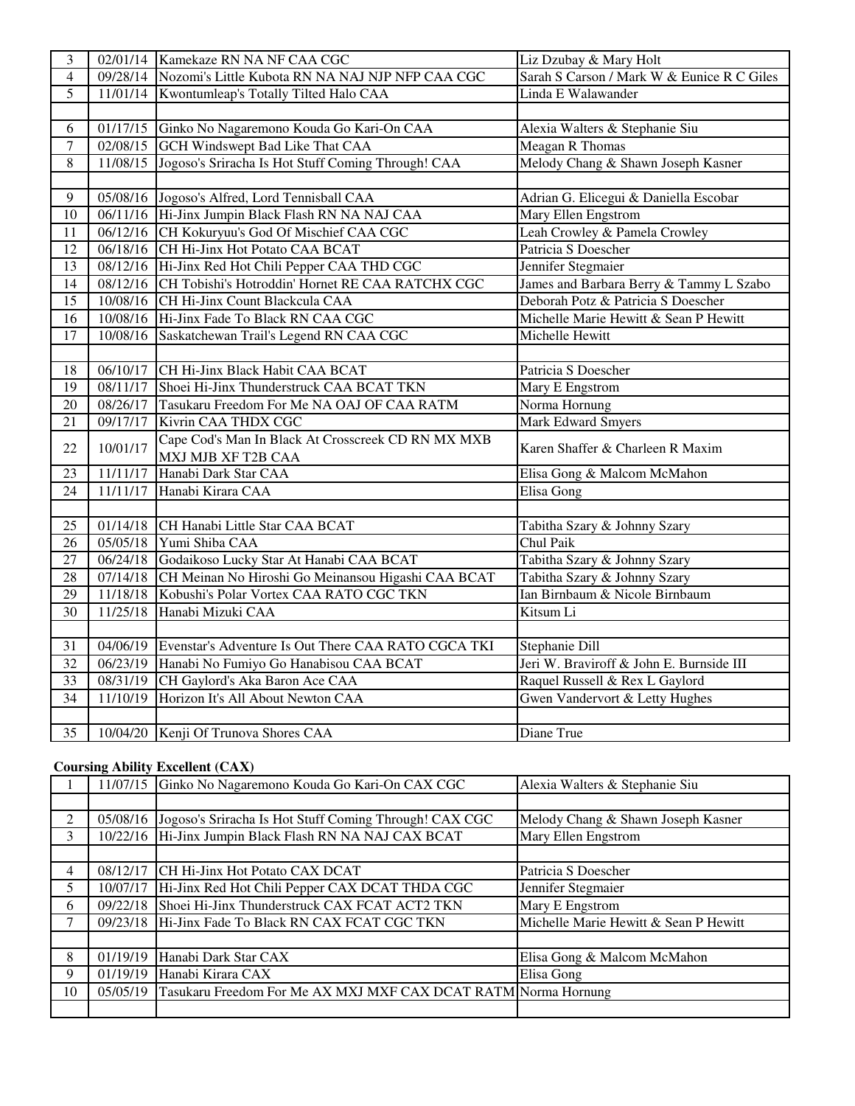| 3               |          | 02/01/14 Kamekaze RN NA NF CAA CGC                        | Liz Dzubay & Mary Holt                     |
|-----------------|----------|-----------------------------------------------------------|--------------------------------------------|
| $\overline{4}$  | 09/28/14 | Nozomi's Little Kubota RN NA NAJ NJP NFP CAA CGC          | Sarah S Carson / Mark W & Eunice R C Giles |
| $\overline{5}$  | 11/01/14 | Kwontumleap's Totally Tilted Halo CAA                     | Linda E Walawander                         |
|                 |          |                                                           |                                            |
| 6               | 01/17/15 | Ginko No Nagaremono Kouda Go Kari-On CAA                  | Alexia Walters & Stephanie Siu             |
| $\overline{7}$  | 02/08/15 | <b>GCH Windswept Bad Like That CAA</b>                    | Meagan R Thomas                            |
| 8               | 11/08/15 | Jogoso's Sriracha Is Hot Stuff Coming Through! CAA        | Melody Chang & Shawn Joseph Kasner         |
|                 |          |                                                           |                                            |
| 9               |          | 05/08/16 Jogoso's Alfred, Lord Tennisball CAA             | Adrian G. Elicegui & Daniella Escobar      |
| 10              |          | 06/11/16 Hi-Jinx Jumpin Black Flash RN NA NAJ CAA         | Mary Ellen Engstrom                        |
| 11              |          | 06/12/16 CH Kokuryuu's God Of Mischief CAA CGC            | Leah Crowley & Pamela Crowley              |
| 12              |          | 06/18/16 CH Hi-Jinx Hot Potato CAA BCAT                   | Patricia S Doescher                        |
| 13              | 08/12/16 | Hi-Jinx Red Hot Chili Pepper CAA THD CGC                  | Jennifer Stegmaier                         |
| 14              |          | 08/12/16 CH Tobishi's Hotroddin' Hornet RE CAA RATCHX CGC | James and Barbara Berry & Tammy L Szabo    |
| $\overline{15}$ |          | 10/08/16 CH Hi-Jinx Count Blackcula CAA                   | Deborah Potz & Patricia S Doescher         |
| 16              |          | 10/08/16 Hi-Jinx Fade To Black RN CAA CGC                 | Michelle Marie Hewitt & Sean P Hewitt      |
| 17              | 10/08/16 | Saskatchewan Trail's Legend RN CAA CGC                    | Michelle Hewitt                            |
|                 |          |                                                           |                                            |
| 18              | 06/10/17 | CH Hi-Jinx Black Habit CAA BCAT                           | Patricia S Doescher                        |
| 19              | 08/11/17 | Shoei Hi-Jinx Thunderstruck CAA BCAT TKN                  | Mary E Engstrom                            |
| 20              | 08/26/17 | Tasukaru Freedom For Me NA OAJ OF CAA RATM                | Norma Hornung                              |
| 21              | 09/17/17 | Kivrin CAA THDX CGC                                       | <b>Mark Edward Smyers</b>                  |
| 22              | 10/01/17 | Cape Cod's Man In Black At Crosscreek CD RN MX MXB        | Karen Shaffer & Charleen R Maxim           |
|                 |          | MXJ MJB XF T2B CAA                                        |                                            |
| 23              | 11/11/17 | Hanabi Dark Star CAA                                      | Elisa Gong & Malcom McMahon                |
| 24              | 11/11/17 | Hanabi Kirara CAA                                         | Elisa Gong                                 |
|                 |          |                                                           |                                            |
| 25              | 01/14/18 | CH Hanabi Little Star CAA BCAT                            | Tabitha Szary & Johnny Szary               |
| 26              | 05/05/18 | Yumi Shiba CAA                                            | Chul Paik                                  |
| $\overline{27}$ | 06/24/18 | Godaikoso Lucky Star At Hanabi CAA BCAT                   | Tabitha Szary & Johnny Szary               |
| $\overline{28}$ | 07/14/18 | CH Meinan No Hiroshi Go Meinansou Higashi CAA BCAT        | Tabitha Szary & Johnny Szary               |
| $\overline{29}$ | 11/18/18 | Kobushi's Polar Vortex CAA RATO CGC TKN                   | Ian Birnbaum & Nicole Birnbaum             |
| $\overline{30}$ | 11/25/18 | Hanabi Mizuki CAA                                         | Kitsum Li                                  |
|                 |          |                                                           |                                            |
| 31              | 04/06/19 | Evenstar's Adventure Is Out There CAA RATO CGCA TKI       | Stephanie Dill                             |
| 32              | 06/23/19 | Hanabi No Fumiyo Go Hanabisou CAA BCAT                    | Jeri W. Braviroff & John E. Burnside III   |
| $\overline{33}$ | 08/31/19 | CH Gaylord's Aka Baron Ace CAA                            | Raquel Russell & Rex L Gaylord             |
| 34              | 11/10/19 | Horizon It's All About Newton CAA                         | Gwen Vandervort & Letty Hughes             |
|                 |          |                                                           |                                            |
| 35              |          | 10/04/20 Kenji Of Trunova Shores CAA                      | Diane True                                 |

## **Coursing Ability Excellent (CAX)**

|    | 11/07/15 | Ginko No Nagaremono Kouda Go Kari-On CAX CGC                   | Alexia Walters & Stephanie Siu        |
|----|----------|----------------------------------------------------------------|---------------------------------------|
|    |          |                                                                |                                       |
| 2  | 05/08/16 | Jogoso's Sriracha Is Hot Stuff Coming Through! CAX CGC         | Melody Chang & Shawn Joseph Kasner    |
| 3  | 10/22/16 | Hi-Jinx Jumpin Black Flash RN NA NAJ CAX BCAT                  | Mary Ellen Engstrom                   |
|    |          |                                                                |                                       |
| 4  | 08/12/17 | CH Hi-Jinx Hot Potato CAX DCAT                                 | Patricia S Doescher                   |
| 5. | 10/07/17 | Hi-Jinx Red Hot Chili Pepper CAX DCAT THDA CGC                 | Jennifer Stegmaier                    |
| 6  | 09/22/18 | Shoei Hi-Jinx Thunderstruck CAX FCAT ACT2 TKN                  | Mary E Engstrom                       |
|    | 09/23/18 | Hi-Jinx Fade To Black RN CAX FCAT CGC TKN                      | Michelle Marie Hewitt & Sean P Hewitt |
|    |          |                                                                |                                       |
| 8  | 01/19/19 | Hanabi Dark Star CAX                                           | Elisa Gong & Malcom McMahon           |
| 9  | 01/19/19 | Hanabi Kirara CAX                                              | Elisa Gong                            |
| 10 | 05/05/19 | Tasukaru Freedom For Me AX MXJ MXF CAX DCAT RATM Norma Hornung |                                       |
|    |          |                                                                |                                       |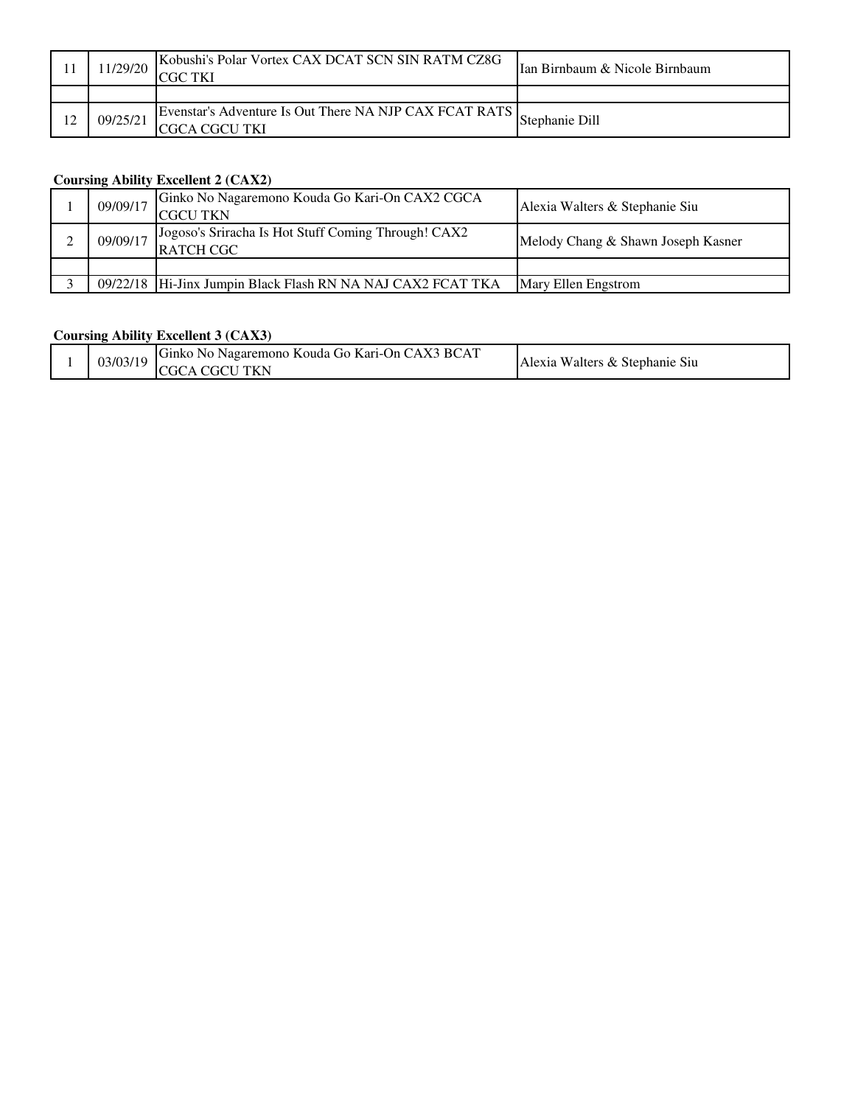|    | 1/29/20  | Kobushi's Polar Vortex CAX DCAT SCN SIN RATM CZ8G<br>$^\circ$ GC        | IIan Birnbaum & Nicole Birnbaum |
|----|----------|-------------------------------------------------------------------------|---------------------------------|
|    |          |                                                                         |                                 |
| 12 | 09/25/21 | Evenstar's Adventure Is Out There NA NJP CAX FCAT RATS<br>CGCA CGCU TKI | Stephanie Dill                  |

## **Coursing Ability Excellent 2 (CAX2)**

| 09/09/17 | Ginko No Nagaremono Kouda Go Kari-On CAX2 CGCA<br><b>CGCU TKN</b>       | Alexia Walters & Stephanie Siu     |
|----------|-------------------------------------------------------------------------|------------------------------------|
| 09/09/17 | Jogoso's Sriracha Is Hot Stuff Coming Through! CAX2<br><b>RATCH CGC</b> | Melody Chang & Shawn Joseph Kasner |
|          |                                                                         |                                    |
|          | 09/22/18 Hi-Jinx Jumpin Black Flash RN NA NAJ CAX2 FCAT TKA             | <b>Mary Ellen Engstrom</b>         |

### **Coursing Ability Excellent 3 (CAX3)**

|  | 03/03/19 | Ginko<br>No Nagaremono Kouda Go Kari-On CAX3 BCAT<br><b>TKN</b><br>÷C<br>тι | u Walters & Stephanie Siu<br>Alexia |
|--|----------|-----------------------------------------------------------------------------|-------------------------------------|
|--|----------|-----------------------------------------------------------------------------|-------------------------------------|